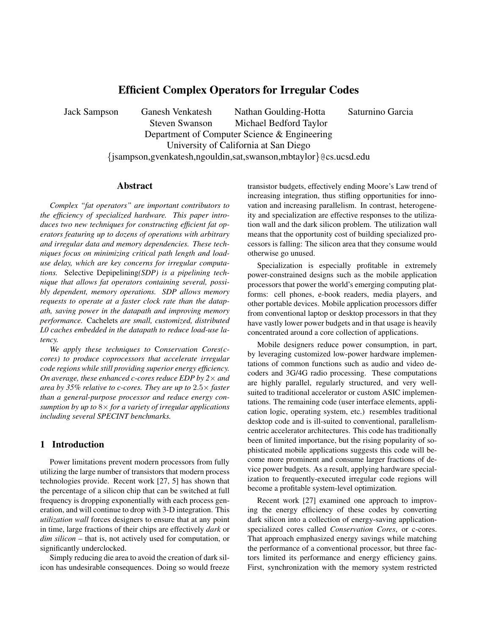# Efficient Complex Operators for Irregular Codes

Jack Sampson Ganesh Venkatesh Nathan Goulding-Hotta Saturnino Garcia Steven Swanson Michael Bedford Taylor Department of Computer Science & Engineering University of California at San Diego {jsampson,gvenkatesh,ngouldin,sat,swanson,mbtaylor}@cs.ucsd.edu

### Abstract

*Complex "fat operators" are important contributors to the efficiency of specialized hardware. This paper introduces two new techniques for constructing efficient fat operators featuring up to dozens of operations with arbitrary and irregular data and memory dependencies. These techniques focus on minimizing critical path length and loaduse delay, which are key concerns for irregular computations.* Selective Depipelining*(SDP) is a pipelining technique that allows fat operators containing several, possibly dependent, memory operations. SDP allows memory requests to operate at a faster clock rate than the datapath, saving power in the datapath and improving memory performance.* Cachelets *are small, customized, distributed L0 caches embedded in the datapath to reduce load-use latency.*

*We apply these techniques to* C*onservation Cores(ccores) to produce coprocessors that accelerate irregular code regions while still providing superior energy efficiency. On average, these enhanced c-cores reduce EDP by 2*× *and area by 35% relative to c-cores. They are up to* 2.5× *faster than a general-purpose processor and reduce energy consumption by up to* 8× *for a variety of irregular applications including several SPECINT benchmarks.*

## 1 Introduction

Power limitations prevent modern processors from fully utilizing the large number of transistors that modern process technologies provide. Recent work [27, 5] has shown that the percentage of a silicon chip that can be switched at full frequency is dropping exponentially with each process generation, and will continue to drop with 3-D integration. This *utilization wall* forces designers to ensure that at any point in time, large fractions of their chips are effectively *dark* or *dim silicon* – that is, not actively used for computation, or significantly underclocked.

Simply reducing die area to avoid the creation of dark silicon has undesirable consequences. Doing so would freeze transistor budgets, effectively ending Moore's Law trend of increasing integration, thus stifling opportunities for innovation and increasing parallelism. In contrast, heterogeneity and specialization are effective responses to the utilization wall and the dark silicon problem. The utilization wall means that the opportunity cost of building specialized processors is falling: The silicon area that they consume would otherwise go unused.

Specialization is especially profitable in extremely power-constrained designs such as the mobile application processors that power the world's emerging computing platforms: cell phones, e-book readers, media players, and other portable devices. Mobile application processors differ from conventional laptop or desktop processors in that they have vastly lower power budgets and in that usage is heavily concentrated around a core collection of applications.

Mobile designers reduce power consumption, in part, by leveraging customized low-power hardware implementations of common functions such as audio and video decoders and 3G/4G radio processing. These computations are highly parallel, regularly structured, and very wellsuited to traditional accelerator or custom ASIC implementations. The remaining code (user interface elements, application logic, operating system, etc.) resembles traditional desktop code and is ill-suited to conventional, parallelismcentric accelerator architectures. This code has traditionally been of limited importance, but the rising popularity of sophisticated mobile applications suggests this code will become more prominent and consume larger fractions of device power budgets. As a result, applying hardware specialization to frequently-executed irregular code regions will become a profitable system-level optimization.

Recent work [27] examined one approach to improving the energy efficiency of these codes by converting dark silicon into a collection of energy-saving applicationspecialized cores called *Conservation Cores*, or c-cores. That approach emphasized energy savings while matching the performance of a conventional processor, but three factors limited its performance and energy efficiency gains. First, synchronization with the memory system restricted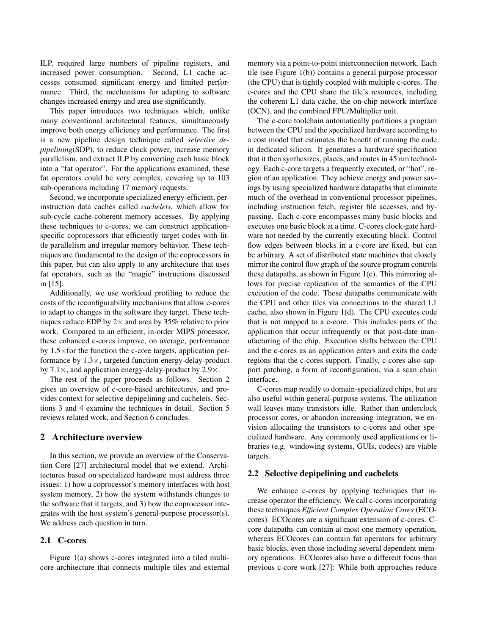ILP, required large numbers of pipeline registers, and increased power consumption. Second, L1 cache accesses consumed significant energy and limited performance. Third, the mechanisms for adapting to software changes increased energy and area use significantly.

This paper introduces two techniques which, unlike many conventional architectural features, simultaneously improve both energy efficiency and performance. The first is a new pipeline design technique called *selective depipelining*(SDP), to reduce clock power, increase memory parallelism, and extract ILP by converting each basic block into a "fat operator". For the applications examined, these fat operators could be very complex, covering up to 103 sub-operations including 17 memory requests.

Second, we incorporate specialized energy-efficient, perinstruction data caches called *cachelets*, which allow for sub-cycle cache-coherent memory accesses. By applying these techniques to c-cores, we can construct applicationspecific coprocessors that efficiently target codes with little parallelism and irregular memory behavior. These techniques are fundamental to the design of the coprocessors in this paper, but can also apply to any architecture that uses fat operators, such as the "magic" instructions discussed in [15].

Additionally, we use workload profiling to reduce the costs of the reconfigurability mechanisms that allow c-cores to adapt to changes in the software they target. These techniques reduce EDP by  $2 \times$  and area by 35% relative to prior work. Compared to an efficient, in-order MIPS processor, these enhanced c-cores improve, on average, performance by  $1.5 \times$  for the function the c-core targets, application performance by 1.3×, targeted function energy-delay-product by 7.1 $\times$ , and application energy-delay-product by 2.9 $\times$ .

The rest of the paper proceeds as follows. Section 2 gives an overview of c-core-based architectures, and provides context for selective depipelining and cachelets. Sections 3 and 4 examine the techniques in detail. Section 5 reviews related work, and Section 6 concludes.

### 2 Architecture overview

In this section, we provide an overview of the Conservation Core [27] architectural model that we extend. Architectures based on specialized hardware must address three issues: 1) how a coprocessor's memory interfaces with host system memory, 2) how the system withstands changes to the software that it targets, and 3) how the coprocessor integrates with the host system's general-purpose processor(s). We address each question in turn.

### 2.1 C-cores

Figure 1(a) shows c-cores integrated into a tiled multicore architecture that connects multiple tiles and external memory via a point-to-point interconnection network. Each tile (see Figure 1(b)) contains a general purpose processor (the CPU) that is tightly coupled with multiple c-cores. The c-cores and the CPU share the tile's resources, including the coherent L1 data cache, the on-chip network interface (OCN), and the combined FPU/Multiplier unit.

The c-core toolchain automatically partitions a program between the CPU and the specialized hardware according to a cost model that estimates the benefit of running the code in dedicated silicon. It generates a hardware specification that it then synthesizes, places, and routes in 45 nm technology. Each c-core targets a frequently executed, or "hot", region of an application. They achieve energy and power savings by using specialized hardware datapaths that eliminate much of the overhead in conventional processor pipelines, including instruction fetch, register file accesses, and bypassing. Each c-core encompasses many basic blocks and executes one basic block at a time. C-cores clock-gate hardware not needed by the currently executing block. Control flow edges between blocks in a c-core are fixed, but can be arbitrary. A set of distributed state machines that closely mirror the control flow graph of the source program controls these datapaths, as shown in Figure 1(c). This mirroring allows for precise replication of the semantics of the CPU execution of the code. These datapaths communicate with the CPU and other tiles via connections to the shared L1 cache, also shown in Figure 1(d). The CPU executes code that is not mapped to a c-core. This includes parts of the application that occur infrequently or that post-date manufacturing of the chip. Execution shifts between the CPU and the c-cores as an application enters and exits the code regions that the c-cores support. Finally, c-cores also support patching, a form of reconfiguration, via a scan chain interface.

C-cores map readily to domain-specialized chips, but are also useful within general-purpose systems. The utilization wall leaves many transistors idle. Rather than underclock processor cores, or abandon increasing integration, we envision allocating the transistors to c-cores and other specialized hardware. Any commonly used applications or libraries (e.g. windowing systems, GUIs, codecs) are viable targets.

#### 2.2 Selective depipelining and cachelets

We enhance c-cores by applying techniques that increase operator the efficiency. We call c-cores incorporating these techniques *Efficient Complex Operation Cores* (ECOcores). ECOcores are a significant extension of c-cores. Ccore datapaths can contain at most one memory operation, whereas ECOcores can contain fat operators for arbitrary basic blocks, even those including several dependent memory operations. ECOcores also have a different focus than previous c-core work [27]: While both approaches reduce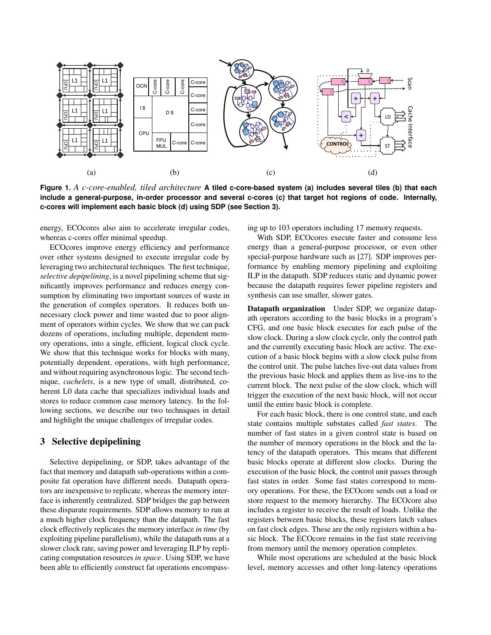

**Figure 1.** *A c-core-enabled, tiled architecture* **A tiled c-core-based system (a) includes several tiles (b) that each include a general-purpose, in-order processor and several c-cores (c) that target hot regions of code. Internally, c-cores will implement each basic block (d) using SDP (see Section 3).**

energy, ECOcores also aim to accelerate irregular codes, whereas c-cores offer minimal speedup.

ECOcores improve energy efficiency and performance over other systems designed to execute irregular code by leveraging two architectural techniques. The first technique, *selective depipelining*, is a novel pipelining scheme that significantly improves performance and reduces energy consumption by eliminating two important sources of waste in the generation of complex operators. It reduces both unnecessary clock power and time wasted due to poor alignment of operators within cycles. We show that we can pack dozens of operations, including multiple, dependent memory operations, into a single, efficient, logical clock cycle. We show that this technique works for blocks with many, potentially dependent, operations, with high performance, and without requiring asynchronous logic. The second technique, *cachelets*, is a new type of small, distributed, coherent L0 data cache that specializes individual loads and stores to reduce common case memory latency. In the following sections, we describe our two techniques in detail and highlight the unique challenges of irregular codes.

### 3 Selective depipelining

Selective depipelining, or SDP, takes advantage of the fact that memory and datapath sub-operations within a composite fat operation have different needs. Datapath operators are inexpensive to replicate, whereas the memory interface is inherently centralized. SDP bridges the gap between these disparate requirements. SDP allows memory to run at a much higher clock frequency than the datapath. The fast clock effectively replicates the memory interface *in time* (by exploiting pipeline parallelism), while the datapath runs at a slower clock rate, saving power and leveraging ILP by replicating computation resources *in space*. Using SDP, we have been able to efficiently construct fat operations encompassing up to 103 operators including 17 memory requests.

With SDP, ECOcores execute faster and consume less energy than a general-purpose processor, or even other special-purpose hardware such as [27]. SDP improves performance by enabling memory pipelining and exploiting ILP in the datapath. SDP reduces static and dynamic power because the datapath requires fewer pipeline registers and synthesis can use smaller, slower gates.

Datapath organization Under SDP, we organize datapath operators according to the basic blocks in a program's CFG, and one basic block executes for each pulse of the slow clock. During a slow clock cycle, only the control path and the currently executing basic block are active. The execution of a basic block begins with a slow clock pulse from the control unit. The pulse latches live-out data values from the previous basic block and applies them as live-ins to the current block. The next pulse of the slow clock, which will trigger the execution of the next basic block, will not occur until the entire basic block is complete.

For each basic block, there is one control state, and each state contains multiple substates called *fast states*. The number of fast states in a given control state is based on the number of memory operations in the block and the latency of the datapath operators. This means that different basic blocks operate at different slow clocks. During the execution of the basic block, the control unit passes through fast states in order. Some fast states correspond to memory operations. For these, the ECOcore sends out a load or store request to the memory hierarchy. The ECOcore also includes a register to receive the result of loads. Unlike the registers between basic blocks, these registers latch values on fast clock edges. These are the only registers within a basic block. The ECOcore remains in the fast state receiving from memory until the memory operation completes.

While most operations are scheduled at the basic block level, memory accesses and other long-latency operations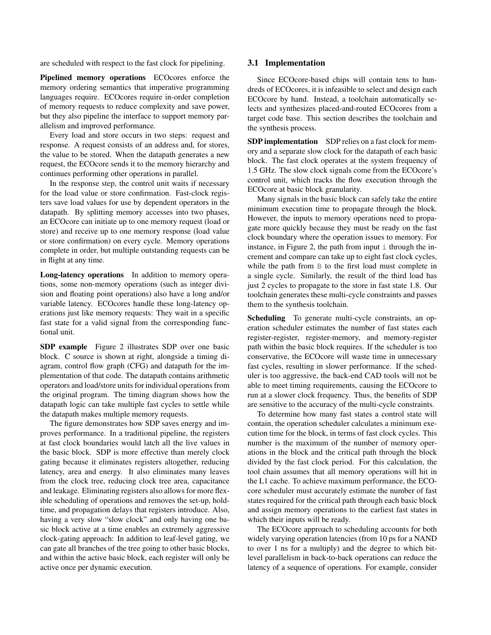are scheduled with respect to the fast clock for pipelining.

Pipelined memory operations ECOcores enforce the memory ordering semantics that imperative programming languages require. ECOcores require in-order completion of memory requests to reduce complexity and save power, but they also pipeline the interface to support memory parallelism and improved performance.

Every load and store occurs in two steps: request and response. A request consists of an address and, for stores, the value to be stored. When the datapath generates a new request, the ECOcore sends it to the memory hierarchy and continues performing other operations in parallel.

In the response step, the control unit waits if necessary for the load value or store confirmation. Fast-clock registers save load values for use by dependent operators in the datapath. By splitting memory accesses into two phases, an ECOcore can initiate up to one memory request (load or store) and receive up to one memory response (load value or store confirmation) on every cycle. Memory operations complete in order, but multiple outstanding requests can be in flight at any time.

Long-latency operations In addition to memory operations, some non-memory operations (such as integer division and floating point operations) also have a long and/or variable latency. ECOcores handle these long-latency operations just like memory requests: They wait in a specific fast state for a valid signal from the corresponding functional unit.

SDP example Figure 2 illustrates SDP over one basic block. C source is shown at right, alongside a timing diagram, control flow graph (CFG) and datapath for the implementation of that code. The datapath contains arithmetic operators and load/store units for individual operations from the original program. The timing diagram shows how the datapath logic can take multiple fast cycles to settle while the datapath makes multiple memory requests.

The figure demonstrates how SDP saves energy and improves performance. In a traditional pipeline, the registers at fast clock boundaries would latch all the live values in the basic block. SDP is more effective than merely clock gating because it eliminates registers altogether, reducing latency, area and energy. It also eliminates many leaves from the clock tree, reducing clock tree area, capacitance and leakage. Eliminating registers also allows for more flexible scheduling of operations and removes the set-up, holdtime, and propagation delays that registers introduce. Also, having a very slow "slow clock" and only having one basic block active at a time enables an extremely aggressive clock-gating approach: In addition to leaf-level gating, we can gate all branches of the tree going to other basic blocks, and within the active basic block, each register will only be active once per dynamic execution.

#### 3.1 Implementation

Since ECOcore-based chips will contain tens to hundreds of ECOcores, it is infeasible to select and design each ECOcore by hand. Instead, a toolchain automatically selects and synthesizes placed-and-routed ECOcores from a target code base. This section describes the toolchain and the synthesis process.

SDP implementation SDP relies on a fast clock for memory and a separate slow clock for the datapath of each basic block. The fast clock operates at the system frequency of 1.5 GHz. The slow clock signals come from the ECOcore's control unit, which tracks the flow execution through the ECOcore at basic block granularity.

Many signals in the basic block can safely take the entire minimum execution time to propagate through the block. However, the inputs to memory operations need to propagate more quickly because they must be ready on the fast clock boundary where the operation issues to memory. For instance, in Figure 2, the path from input  $\pm$  through the increment and compare can take up to eight fast clock cycles, while the path from B to the first load must complete in a single cycle. Similarly, the result of the third load has just 2 cycles to propagate to the store in fast state 1.8. Our toolchain generates these multi-cycle constraints and passes them to the synthesis toolchain.

Scheduling To generate multi-cycle constraints, an operation scheduler estimates the number of fast states each register-register, register-memory, and memory-register path within the basic block requires. If the scheduler is too conservative, the ECOcore will waste time in unnecessary fast cycles, resulting in slower performance. If the scheduler is too aggressive, the back-end CAD tools will not be able to meet timing requirements, causing the ECOcore to run at a slower clock frequency. Thus, the benefits of SDP are sensitive to the accuracy of the multi-cycle constraints.

To determine how many fast states a control state will contain, the operation scheduler calculates a minimum execution time for the block, in terms of fast clock cycles. This number is the maximum of the number of memory operations in the block and the critical path through the block divided by the fast clock period. For this calculation, the tool chain assumes that all memory operations will hit in the L1 cache. To achieve maximum performance, the ECOcore scheduler must accurately estimate the number of fast states required for the critical path through each basic block and assign memory operations to the earliest fast states in which their inputs will be ready.

The ECOcore approach to scheduling accounts for both widely varying operation latencies (from 10 ps for a NAND to over 1 ns for a multiply) and the degree to which bitlevel parallelism in back-to-back operations can reduce the latency of a sequence of operations. For example, consider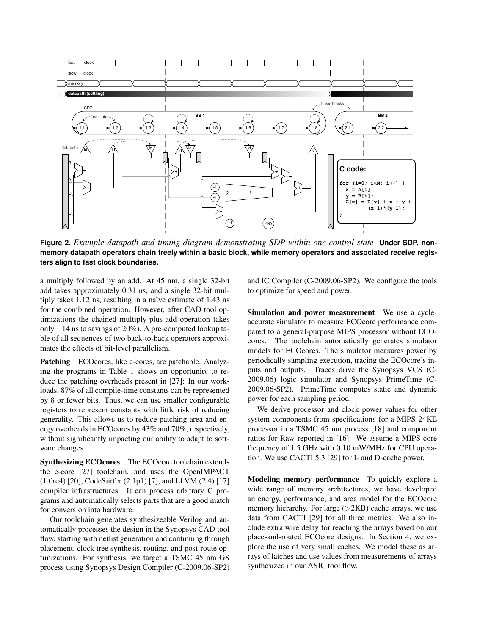

**Figure 2.** *Example datapath and timing diagram demonstrating SDP within one control state* **Under SDP, nonmemory datapath operators chain freely within a basic block, while memory operators and associated receive registers align to fast clock boundaries.**

a multiply followed by an add. At 45 nm, a single 32-bit add takes approximately 0.31 ns, and a single 32-bit multiply takes 1.12 ns, resulting in a naïve estimate of 1.43 ns for the combined operation. However, after CAD tool optimizations the chained multiply-plus-add operation takes only 1.14 ns (a savings of 20%). A pre-computed lookup table of all sequences of two back-to-back operators approximates the effects of bit-level parallelism.

Patching ECOcores, like c-cores, are patchable. Analyzing the programs in Table 1 shows an opportunity to reduce the patching overheads present in [27]: In our workloads, 87% of all compile-time constants can be represented by 8 or fewer bits. Thus, we can use smaller configurable registers to represent constants with little risk of reducing generality. This allows us to reduce patching area and energy overheads in ECOcores by 43% and 70%, respectively, without significantly impacting our ability to adapt to software changes.

Synthesizing ECOcores The ECOcore toolchain extends the c-core [27] toolchain, and uses the OpenIMPACT (1.0rc4) [20], CodeSurfer (2.1p1) [7], and LLVM (2.4) [17] compiler infrastructures. It can process arbitrary C programs and automatically selects parts that are a good match for conversion into hardware.

Our toolchain generates synthesizeable Verilog and automatically processes the design in the Synopsys CAD tool flow, starting with netlist generation and continuing through placement, clock tree synthesis, routing, and post-route optimizations. For synthesis, we target a TSMC 45 nm GS process using Synopsys Design Compiler (C-2009.06-SP2) and IC Compiler (C-2009.06-SP2). We configure the tools to optimize for speed and power.

Simulation and power measurement We use a cycleaccurate simulator to measure ECOcore performance compared to a general-purpose MIPS processor without ECOcores. The toolchain automatically generates simulator models for ECOcores. The simulator measures power by periodically sampling execution, tracing the ECOcore's inputs and outputs. Traces drive the Synopsys VCS (C-2009.06) logic simulator and Synopsys PrimeTime (C-2009.06-SP2). PrimeTime computes static and dynamic power for each sampling period.

We derive processor and clock power values for other system components from specifications for a MIPS 24KE processor in a TSMC 45 nm process [18] and component ratios for Raw reported in [16]. We assume a MIPS core frequency of 1.5 GHz with 0.10 mW/MHz for CPU operation. We use CACTI 5.3 [29] for I- and D-cache power.

Modeling memory performance To quickly explore a wide range of memory architectures, we have developed an energy, performance, and area model for the ECOcore memory hierarchy. For large  $(>2KB)$  cache arrays, we use data from CACTI [29] for all three metrics. We also include extra wire delay for reaching the arrays based on our place-and-routed ECOcore designs. In Section 4, we explore the use of very small caches. We model these as arrays of latches and use values from measurements of arrays synthesized in our ASIC tool flow.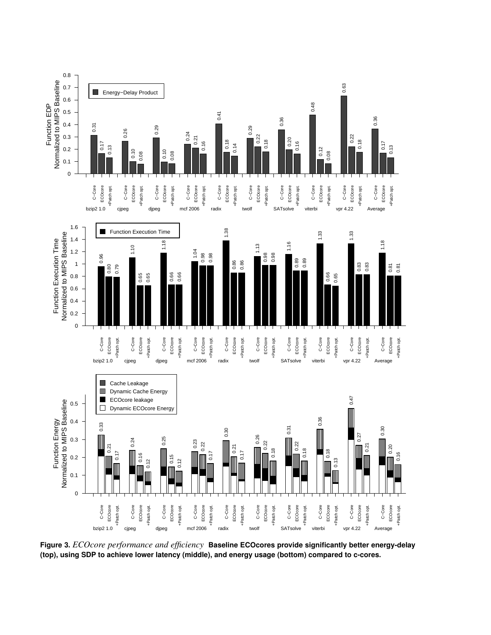

**Figure 3.** *ECOcore performance and efficiency* **Baseline ECOcores provide significantly better energy-delay (top), using SDP to achieve lower latency (middle), and energy usage (bottom) compared to c-cores.**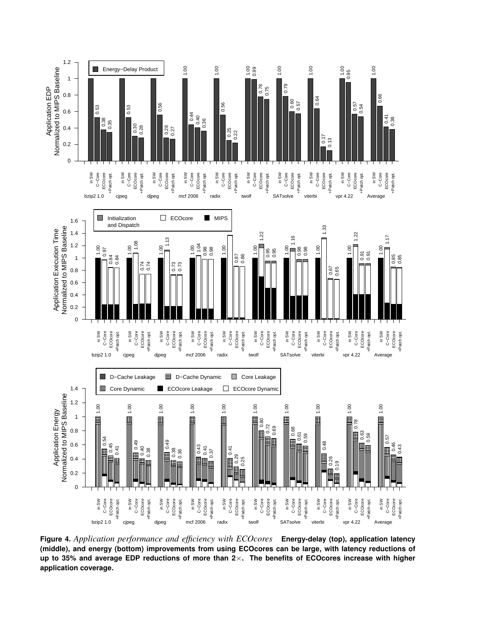

**Figure 4.** *Application performance and efficiency with ECOcores* **Energy-delay (top), application latency (middle), and energy (bottom) improvements from using ECOcores can be large, with latency reductions of up to 35% and average EDP reductions of more than 2**×**. The benefits of ECOcores increase with higher application coverage.**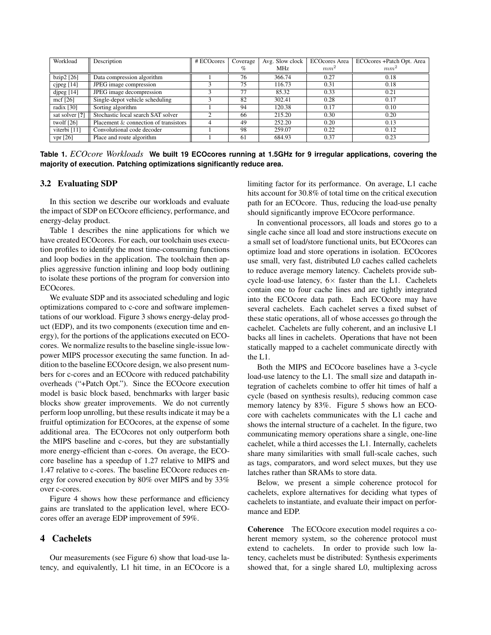| Workload       | Description                           | # ECOcores | Coverage | Avg. Slow clock | <b>ECOcores</b> Area | ECOcores +Patch Opt. Area |
|----------------|---------------------------------------|------------|----------|-----------------|----------------------|---------------------------|
|                |                                       |            | %        | <b>MHz</b>      | mm <sup>2</sup>      | mm <sup>2</sup>           |
| $bzip2$ [26]   | Data compression algorithm            |            | 76       | 366.74          | 0.27                 | 0.18                      |
| cjpeg $[14]$   | JPEG image compression                |            | 75       | 116.73          | 0.31                 | 0.18                      |
| dipeg $[14]$   | JPEG image decompression              |            | 77       | 85.32           | 0.33                 | 0.21                      |
| mcf $[26]$     | Single-depot vehicle scheduling       |            | 82       | 302.41          | 0.28                 | 0.17                      |
| radix [30]     | Sorting algorithm                     |            | 94       | 120.38          | 0.17                 | 0.10                      |
| sat solver [?] | Stochastic local search SAT solver    |            | 66       | 215.20          | 0.30                 | 0.20                      |
| twolf $[26]$   | Placement & connection of transistors |            | 49       | 252.20          | 0.20                 | 0.13                      |
| viterbi [11]   | Convolutional code decoder            |            | 98       | 259.07          | 0.22                 | 0.12                      |
| vpr $[26]$     | Place and route algorithm             |            | 61       | 684.93          | 0.37                 | 0.23                      |

**Table 1.** *ECOcore Workloads* **We built 19 ECOcores running at 1.5GHz for 9 irregular applications, covering the majority of execution. Patching optimizations significantly reduce area.**

#### 3.2 Evaluating SDP

In this section we describe our workloads and evaluate the impact of SDP on ECOcore efficiency, performance, and energy-delay product.

Table 1 describes the nine applications for which we have created ECOcores. For each, our toolchain uses execution profiles to identify the most time-consuming functions and loop bodies in the application. The toolchain then applies aggressive function inlining and loop body outlining to isolate these portions of the program for conversion into ECOcores.

We evaluate SDP and its associated scheduling and logic optimizations compared to c-core and software implementations of our workload. Figure 3 shows energy-delay product (EDP), and its two components (execution time and energy), for the portions of the applications executed on ECOcores. We normalize results to the baseline single-issue lowpower MIPS processor executing the same function. In addition to the baseline ECOcore design, we also present numbers for c-cores and an ECOcore with reduced patchability overheads ("+Patch Opt."). Since the ECOcore execution model is basic block based, benchmarks with larger basic blocks show greater improvements. We do not currently perform loop unrolling, but these results indicate it may be a fruitful optimization for ECOcores, at the expense of some additional area. The ECOcores not only outperform both the MIPS baseline and c-cores, but they are substantially more energy-efficient than c-cores. On average, the ECOcore baseline has a speedup of 1.27 relative to MIPS and 1.47 relative to c-cores. The baseline ECOcore reduces energy for covered execution by 80% over MIPS and by 33% over c-cores.

Figure 4 shows how these performance and efficiency gains are translated to the application level, where ECOcores offer an average EDP improvement of 59%.

### 4 Cachelets

Our measurements (see Figure 6) show that load-use latency, and equivalently, L1 hit time, in an ECOcore is a limiting factor for its performance. On average, L1 cache hits account for 30.8% of total time on the critical execution path for an ECOcore. Thus, reducing the load-use penalty should significantly improve ECOcore performance.

In conventional processors, all loads and stores go to a single cache since all load and store instructions execute on a small set of load/store functional units, but ECOcores can optimize load and store operations in isolation. ECOcores use small, very fast, distributed L0 caches called cachelets to reduce average memory latency. Cachelets provide subcycle load-use latency,  $6 \times$  faster than the L1. Cachelets contain one to four cache lines and are tightly integrated into the ECOcore data path. Each ECOcore may have several cachelets. Each cachelet serves a fixed subset of these static operations, all of whose accesses go through the cachelet. Cachelets are fully coherent, and an inclusive L1 backs all lines in cachelets. Operations that have not been statically mapped to a cachelet communicate directly with the L1.

Both the MIPS and ECOcore baselines have a 3-cycle load-use latency to the L1. The small size and datapath integration of cachelets combine to offer hit times of half a cycle (based on synthesis results), reducing common case memory latency by 83%. Figure 5 shows how an ECOcore with cachelets communicates with the L1 cache and shows the internal structure of a cachelet. In the figure, two communicating memory operations share a single, one-line cachelet, while a third accesses the L1. Internally, cachelets share many similarities with small full-scale caches, such as tags, comparators, and word select muxes, but they use latches rather than SRAMs to store data.

Below, we present a simple coherence protocol for cachelets, explore alternatives for deciding what types of cachelets to instantiate, and evaluate their impact on performance and EDP.

Coherence The ECOcore execution model requires a coherent memory system, so the coherence protocol must extend to cachelets. In order to provide such low latency, cachelets must be distributed: Synthesis experiments showed that, for a single shared L0, multiplexing across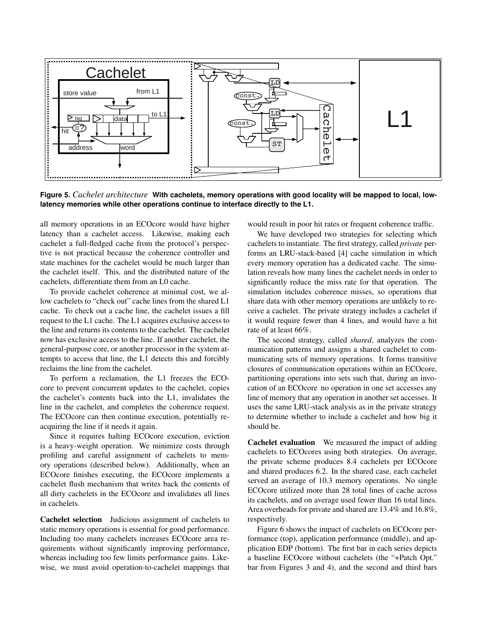

**Figure 5.** *Cachelet architecture* **With cachelets, memory operations with good locality will be mapped to local, lowlatency memories while other operations continue to interface directly to the L1.**

all memory operations in an ECOcore would have higher latency than a cachelet access. Likewise, making each cachelet a full-fledged cache from the protocol's perspective is not practical because the coherence controller and state machines for the cachelet would be much larger than the cachelet itself. This, and the distributed nature of the cachelets, differentiate them from an L0 cache.

To provide cachelet coherence at minimal cost, we allow cachelets to "check out" cache lines from the shared L1 cache. To check out a cache line, the cachelet issues a fill request to the L1 cache. The L1 acquires exclusive access to the line and returns its contents to the cachelet. The cachelet now has exclusive access to the line. If another cachelet, the general-purpose core, or another processor in the system attempts to access that line, the L1 detects this and forcibly reclaims the line from the cachelet.

To perform a reclamation, the L1 freezes the ECOcore to prevent concurrent updates to the cachelet, copies the cachelet's contents back into the L1, invalidates the line in the cachelet, and completes the coherence request. The ECOcore can then continue execution, potentially reacquiring the line if it needs it again.

Since it requires halting ECOcore execution, eviction is a heavy-weight operation. We minimize costs through profiling and careful assignment of cachelets to memory operations (described below). Additionally, when an ECOcore finishes executing, the ECOcore implements a cachelet flush mechanism that writes back the contents of all dirty cachelets in the ECOcore and invalidates all lines in cachelets.

Cachelet selection Judicious assignment of cachelets to static memory operations is essential for good performance. Including too many cachelets increases ECOcore area requirements without significantly improving performance, whereas including too few limits performance gains. Likewise, we must avoid operation-to-cachelet mappings that would result in poor hit rates or frequent coherence traffic.

We have developed two strategies for selecting which cachelets to instantiate. The first strategy, called *private* performs an LRU-stack-based [4] cache simulation in which every memory operation has a dedicated cache. The simulation reveals how many lines the cachelet needs in order to significantly reduce the miss rate for that operation. The simulation includes coherence misses, so operations that share data with other memory operations are unlikely to receive a cachelet. The private strategy includes a cachelet if it would require fewer than 4 lines, and would have a hit rate of at least 66%.

The second strategy, called *shared*, analyzes the communication patterns and assigns a shared cachelet to communicating sets of memory operations. It forms transitive closures of communication operations within an ECOcore, partitioning operations into sets such that, during an invocation of an ECOcore no operation in one set accesses any line of memory that any operation in another set accesses. It uses the same LRU-stack analysis as in the private strategy to determine whether to include a cachelet and how big it should be.

Cachelet evaluation We measured the impact of adding cachelets to ECOcores using both strategies. On average, the private scheme produces 8.4 cachelets per ECOcore and shared produces 6.2. In the shared case, each cachelet served an average of 10.3 memory operations. No single ECOcore utilized more than 28 total lines of cache across its cachelets, and on average used fewer than 16 total lines. Area overheads for private and shared are 13.4% and 16.8%, respectively.

Figure 6 shows the impact of cachelets on ECOcore performance (top), application performance (middle), and application EDP (bottom). The first bar in each series depicts a baseline ECOcore without cachelets (the "+Patch Opt." bar from Figures 3 and 4), and the second and third bars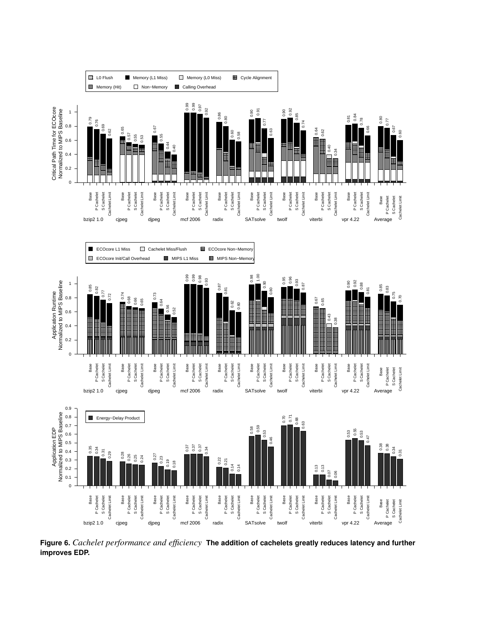

**Figure 6.** *Cachelet performance and efficiency* **The addition of cachelets greatly reduces latency and further improves EDP.**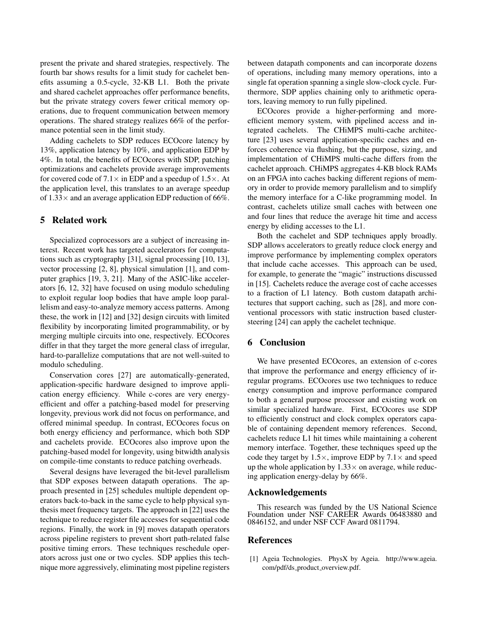present the private and shared strategies, respectively. The fourth bar shows results for a limit study for cachelet benefits assuming a 0.5-cycle, 32-KB L1. Both the private and shared cachelet approaches offer performance benefits, but the private strategy covers fewer critical memory operations, due to frequent communication between memory operations. The shared strategy realizes 66% of the performance potential seen in the limit study.

Adding cachelets to SDP reduces ECOcore latency by 13%, application latency by 10%, and application EDP by 4%. In total, the benefits of ECOcores with SDP, patching optimizations and cachelets provide average improvements for covered code of  $7.1 \times$  in EDP and a speedup of  $1.5 \times$ . At the application level, this translates to an average speedup of  $1.33\times$  and an average application EDP reduction of 66%.

# 5 Related work

Specialized coprocessors are a subject of increasing interest. Recent work has targeted accelerators for computations such as cryptography [31], signal processing [10, 13], vector processing [2, 8], physical simulation [1], and computer graphics [19, 3, 21]. Many of the ASIC-like accelerators [6, 12, 32] have focused on using modulo scheduling to exploit regular loop bodies that have ample loop parallelism and easy-to-analyze memory access patterns. Among these, the work in [12] and [32] design circuits with limited flexibility by incorporating limited programmability, or by merging multiple circuits into one, respectively. ECOcores differ in that they target the more general class of irregular, hard-to-parallelize computations that are not well-suited to modulo scheduling.

Conservation cores [27] are automatically-generated, application-specific hardware designed to improve application energy efficiency. While c-cores are very energyefficient and offer a patching-based model for preserving longevity, previous work did not focus on performance, and offered minimal speedup. In contrast, ECOcores focus on both energy efficiency and performance, which both SDP and cachelets provide. ECOcores also improve upon the patching-based model for longevity, using bitwidth analysis on compile-time constants to reduce patching overheads.

Several designs have leveraged the bit-level parallelism that SDP exposes between datapath operations. The approach presented in [25] schedules multiple dependent operators back-to-back in the same cycle to help physical synthesis meet frequency targets. The approach in [22] uses the technique to reduce register file accesses for sequential code regions. Finally, the work in [9] moves datapath operators across pipeline registers to prevent short path-related false positive timing errors. These techniques reschedule operators across just one or two cycles. SDP applies this technique more aggressively, eliminating most pipeline registers between datapath components and can incorporate dozens of operations, including many memory operations, into a single fat operation spanning a single slow-clock cycle. Furthermore, SDP applies chaining only to arithmetic operators, leaving memory to run fully pipelined.

ECOcores provide a higher-performing and moreefficient memory system, with pipelined access and integrated cachelets. The CHiMPS multi-cache architecture [23] uses several application-specific caches and enforces coherence via flushing, but the purpose, sizing, and implementation of CHiMPS multi-cache differs from the cachelet approach. CHiMPS aggregates 4-KB block RAMs on an FPGA into caches backing different regions of memory in order to provide memory parallelism and to simplify the memory interface for a C-like programming model. In contrast, cachelets utilize small caches with between one and four lines that reduce the average hit time and access energy by eliding accesses to the L1.

Both the cachelet and SDP techniques apply broadly. SDP allows accelerators to greatly reduce clock energy and improve performance by implementing complex operators that include cache accesses. This approach can be used, for example, to generate the "magic" instructions discussed in [15]. Cachelets reduce the average cost of cache accesses to a fraction of L1 latency. Both custom datapath architectures that support caching, such as [28], and more conventional processors with static instruction based clustersteering [24] can apply the cachelet technique.

### 6 Conclusion

We have presented ECOcores, an extension of c-cores that improve the performance and energy efficiency of irregular programs. ECOcores use two techniques to reduce energy consumption and improve performance compared to both a general purpose processor and existing work on similar specialized hardware. First, ECOcores use SDP to efficiently construct and clock complex operators capable of containing dependent memory references. Second, cachelets reduce L1 hit times while maintaining a coherent memory interface. Together, these techniques speed up the code they target by  $1.5 \times$ , improve EDP by  $7.1 \times$  and speed up the whole application by  $1.33 \times$  on average, while reducing application energy-delay by 66%.

#### Acknowledgements

This research was funded by the US National Science Foundation under NSF CAREER Awards 06483880 and 0846152, and under NSF CCF Award 0811794.

#### References

[1] Ageia Technologies. PhysX by Ageia. http://www.ageia. com/pdf/ds\_product\_overview.pdf.